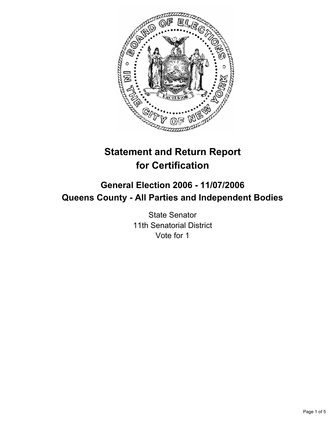

# **Statement and Return Report for Certification**

## **General Election 2006 - 11/07/2006 Queens County - All Parties and Independent Bodies**

State Senator 11th Senatorial District Vote for 1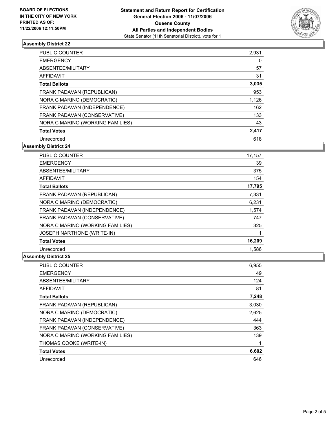

## **Assembly District 22**

| PUBLIC COUNTER                   | 2,931 |
|----------------------------------|-------|
| <b>EMERGENCY</b>                 | 0     |
| ABSENTEE/MILITARY                | 57    |
| AFFIDAVIT                        | 31    |
| <b>Total Ballots</b>             | 3,035 |
| FRANK PADAVAN (REPUBLICAN)       | 953   |
| NORA C MARINO (DEMOCRATIC)       | 1,126 |
| FRANK PADAVAN (INDEPENDENCE)     | 162   |
| FRANK PADAVAN (CONSERVATIVE)     | 133   |
| NORA C MARINO (WORKING FAMILIES) | 43    |
| <b>Total Votes</b>               | 2,417 |
| Unrecorded                       | 618   |

**Assembly District 24**

| <b>PUBLIC COUNTER</b>            | 17,157 |
|----------------------------------|--------|
| <b>EMERGENCY</b>                 | 39     |
| ABSENTEE/MILITARY                | 375    |
| AFFIDAVIT                        | 154    |
| <b>Total Ballots</b>             | 17,795 |
| FRANK PADAVAN (REPUBLICAN)       | 7,331  |
| NORA C MARINO (DEMOCRATIC)       | 6,231  |
| FRANK PADAVAN (INDEPENDENCE)     | 1,574  |
| FRANK PADAVAN (CONSERVATIVE)     | 747    |
| NORA C MARINO (WORKING FAMILIES) | 325    |
| JOSEPH NARTHONE (WRITE-IN)       |        |
| <b>Total Votes</b>               | 16,209 |
| Unrecorded                       | 1.586  |

## **Assembly District 25**

| <b>PUBLIC COUNTER</b>            | 6,955 |
|----------------------------------|-------|
| <b>EMERGENCY</b>                 | 49    |
| ABSENTEE/MILITARY                | 124   |
| <b>AFFIDAVIT</b>                 | 81    |
| <b>Total Ballots</b>             | 7,248 |
| FRANK PADAVAN (REPUBLICAN)       | 3.030 |
| NORA C MARINO (DEMOCRATIC)       | 2,625 |
| FRANK PADAVAN (INDEPENDENCE)     | 444   |
| FRANK PADAVAN (CONSERVATIVE)     | 363   |
| NORA C MARINO (WORKING FAMILIES) | 139   |
| THOMAS COOKE (WRITE-IN)          |       |
| <b>Total Votes</b>               | 6,602 |
| Unrecorded                       | 646   |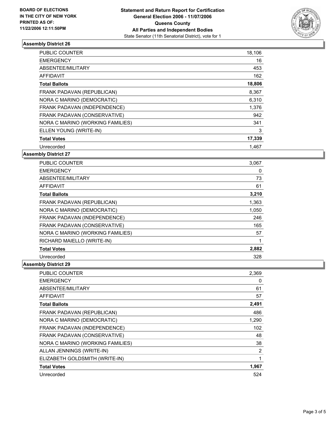

## **Assembly District 26**

| PUBLIC COUNTER                   | 18,106 |  |
|----------------------------------|--------|--|
| <b>EMERGENCY</b>                 | 16     |  |
| ABSENTEE/MILITARY                | 453    |  |
| AFFIDAVIT                        | 162    |  |
| <b>Total Ballots</b>             | 18,806 |  |
| FRANK PADAVAN (REPUBLICAN)       | 8,367  |  |
| NORA C MARINO (DEMOCRATIC)       | 6,310  |  |
| FRANK PADAVAN (INDEPENDENCE)     | 1,376  |  |
| FRANK PADAVAN (CONSERVATIVE)     | 942    |  |
| NORA C MARINO (WORKING FAMILIES) | 341    |  |
| ELLEN YOUNG (WRITE-IN)           | 3      |  |
| <b>Total Votes</b>               | 17,339 |  |
| Unrecorded                       | 1.467  |  |

## **Assembly District 27**

| <b>PUBLIC COUNTER</b>            | 3,067 |
|----------------------------------|-------|
| <b>EMERGENCY</b>                 | 0     |
| ABSENTEE/MILITARY                | 73    |
| <b>AFFIDAVIT</b>                 | 61    |
| <b>Total Ballots</b>             | 3,210 |
| FRANK PADAVAN (REPUBLICAN)       | 1,363 |
| NORA C MARINO (DEMOCRATIC)       | 1,050 |
| FRANK PADAVAN (INDEPENDENCE)     | 246   |
| FRANK PADAVAN (CONSERVATIVE)     | 165   |
| NORA C MARINO (WORKING FAMILIES) | 57    |
| RICHARD MAIELLO (WRITE-IN)       |       |
| <b>Total Votes</b>               | 2,882 |
| Unrecorded                       | 328   |

## **Assembly District 29**

| <b>PUBLIC COUNTER</b>            | 2,369 |
|----------------------------------|-------|
| <b>EMERGENCY</b>                 | 0     |
| ABSENTEE/MILITARY                | 61    |
| <b>AFFIDAVIT</b>                 | 57    |
| <b>Total Ballots</b>             | 2,491 |
| FRANK PADAVAN (REPUBLICAN)       | 486   |
| NORA C MARINO (DEMOCRATIC)       | 1,290 |
| FRANK PADAVAN (INDEPENDENCE)     | 102   |
| FRANK PADAVAN (CONSERVATIVE)     | 48    |
| NORA C MARINO (WORKING FAMILIES) | 38    |
| ALLAN JENNINGS (WRITE-IN)        | 2     |
| ELIZABETH GOLDSMITH (WRITE-IN)   |       |
| <b>Total Votes</b>               | 1,967 |
| Unrecorded                       | 524   |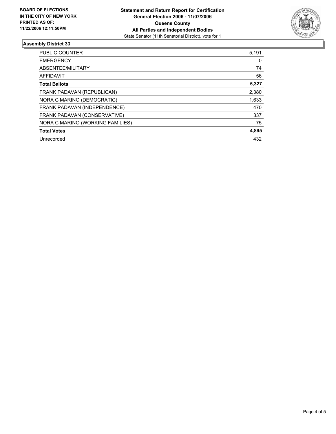

## **Assembly District 33**

| <b>PUBLIC COUNTER</b>            | 5,191 |
|----------------------------------|-------|
| <b>EMERGENCY</b>                 | 0     |
| ABSENTEE/MILITARY                | 74    |
| AFFIDAVIT                        | 56    |
| <b>Total Ballots</b>             | 5,327 |
| FRANK PADAVAN (REPUBLICAN)       | 2,380 |
| NORA C MARINO (DEMOCRATIC)       | 1,633 |
| FRANK PADAVAN (INDEPENDENCE)     | 470   |
| FRANK PADAVAN (CONSERVATIVE)     | 337   |
| NORA C MARINO (WORKING FAMILIES) | 75    |
| <b>Total Votes</b>               | 4,895 |
| Unrecorded                       | 432   |